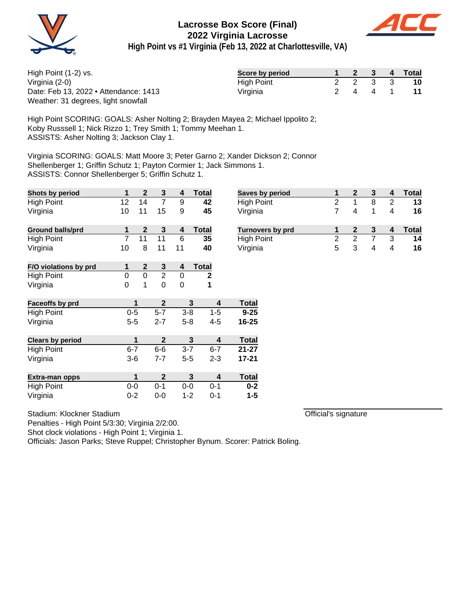



**High Point vs #1 Virginia (Feb 13, 2022 at Charlottesville, VA)**

| High Point (1-2) vs.                  | Score by period |  | $2 \quad 3$ | $\overline{4}$ | Total     |
|---------------------------------------|-----------------|--|-------------|----------------|-----------|
| Virginia (2-0)                        | High Point      |  | 2 2 3 3     |                | <b>10</b> |
| Date: Feb 13, 2022 • Attendance: 1413 | Virginia        |  | 2 4 4 1     |                |           |
| Weather: 31 degrees, light snowfall   |                 |  |             |                |           |

High Point SCORING: GOALS: Asher Nolting 2; Brayden Mayea 2; Michael Ippolito 2; Koby Russsell 1; Nick Rizzo 1; Trey Smith 1; Tommy Meehan 1. ASSISTS: Asher Nolting 3; Jackson Clay 1.

Virginia SCORING: GOALS: Matt Moore 3; Peter Garno 2; Xander Dickson 2; Connor Shellenberger 1; Griffin Schutz 1; Payton Cormier 1; Jack Simmons 1. ASSISTS: Connor Shellenberger 5; Griffin Schutz 1.

| Shots by period         | 1              | $\boldsymbol{2}$        | $\mathbf{3}$     | 4                       | <b>Total</b>            | <b>Saves by period</b>  | 1              | $\mathbf{2}$   | 3              | 4              | <b>Total</b> |
|-------------------------|----------------|-------------------------|------------------|-------------------------|-------------------------|-------------------------|----------------|----------------|----------------|----------------|--------------|
| <b>High Point</b>       | 12             | 14                      | $\overline{7}$   | 9                       | 42                      | High Point              | $\overline{2}$ | 1              | 8              | $\overline{2}$ | 13           |
| Virginia                | 10             | 11                      | 15               | 9                       | 45                      | Virginia                | 7              | 4              | 1              | 4              | 16           |
| <b>Ground balls/prd</b> | 1              | $\overline{\mathbf{2}}$ | 3                | $\overline{\mathbf{4}}$ | <b>Total</b>            | <b>Turnovers by prd</b> | 1              | $\mathbf{2}$   | $\mathbf{3}$   | 4              | <b>Total</b> |
| <b>High Point</b>       | $\overline{7}$ | 11                      | 11               | 6                       | 35                      | <b>High Point</b>       | $\overline{c}$ | $\overline{c}$ | $\overline{7}$ | 3              | 14           |
| Virginia                | 10             | 8                       | 11               | 11                      | 40                      | Virginia                | 5              | 3              | 4              | 4              | 16           |
| F/O violations by prd   | 1              | $\mathbf{2}$            | $\mathbf{3}$     | 4                       | <b>Total</b>            |                         |                |                |                |                |              |
| <b>High Point</b>       | $\mathbf 0$    | $\mathbf 0$             | $\overline{2}$   | $\mathbf 0$             | $\mathbf{2}$            |                         |                |                |                |                |              |
| Virginia                | $\mathbf 0$    | 1                       | $\mathbf 0$      | $\mathbf 0$             | 1                       |                         |                |                |                |                |              |
| Faceoffs by prd         |                | 1                       | $\mathbf{2}$     | 3                       | 4                       | <b>Total</b>            |                |                |                |                |              |
| <b>High Point</b>       | $0-5$          |                         | $5 - 7$          | $3 - 8$                 | $1 - 5$                 | $9 - 25$                |                |                |                |                |              |
| Virginia                | $5 - 5$        |                         | $2 - 7$          | $5 - 8$                 | $4 - 5$                 | 16-25                   |                |                |                |                |              |
| <b>Clears by period</b> |                | 1                       | $\boldsymbol{2}$ | 3                       | $\overline{\mathbf{4}}$ | <b>Total</b>            |                |                |                |                |              |
| <b>High Point</b>       | $6 - 7$        |                         | $6-6$            | $3 - 7$                 | $6 - 7$                 | $21 - 27$               |                |                |                |                |              |
| Virginia                | $3-6$          |                         | $7 - 7$          | $5-5$                   | $2 - 3$                 | $17 - 21$               |                |                |                |                |              |
| Extra-man opps          |                | 1                       | $\mathbf{2}$     | 3                       | $\overline{\mathbf{4}}$ | <b>Total</b>            |                |                |                |                |              |
| <b>High Point</b>       | $0-0$          |                         | $0 - 1$          | $0-0$                   | $0 - 1$                 | $0 - 2$                 |                |                |                |                |              |
| Virginia                | $0 - 2$        |                         | $0-0$            | $1 - 2$                 | $0 - 1$                 | $1 - 5$                 |                |                |                |                |              |

Official's signature

Stadium: Klockner Stadium

Penalties - High Point 5/3:30; Virginia 2/2:00.

Shot clock violations - High Point 1; Virginia 1.

Officials: Jason Parks; Steve Ruppel; Christopher Bynum. Scorer: Patrick Boling.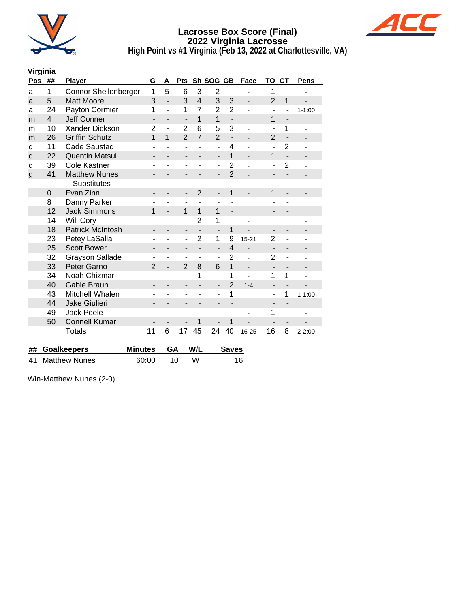



**High Point vs #1 Virginia (Feb 13, 2022 at Charlottesville, VA)**

## **Virginia**

| Pos          | ##                   | <b>Player</b>               | G                        | A                        | Pts                          |                          | Sh SOG                       | <b>GB</b>                | Face                         | то                       | <b>CT</b>                | Pens                     |  |
|--------------|----------------------|-----------------------------|--------------------------|--------------------------|------------------------------|--------------------------|------------------------------|--------------------------|------------------------------|--------------------------|--------------------------|--------------------------|--|
| a            | 1                    | <b>Connor Shellenberger</b> | 1                        | 5                        | 6                            | 3                        | $\overline{2}$               | ä,                       |                              | 1                        |                          |                          |  |
| a            | 5                    | <b>Matt Moore</b>           | 3                        | $\overline{\phantom{a}}$ | 3                            | $\overline{4}$           | 3                            | 3                        | $\overline{\phantom{a}}$     | $\overline{2}$           | 1                        |                          |  |
| a            | 24                   | Payton Cormier              | 1                        | $\overline{a}$           | 1                            | 7                        | $\overline{2}$               | $\overline{2}$           | ÷                            | ä,                       | ä,                       | $1 - 1:00$               |  |
| m            | $\overline{4}$       | <b>Jeff Conner</b>          | -                        |                          | $\overline{a}$               | $\mathbf{1}$             | $\mathbf{1}$                 | $\overline{\phantom{a}}$ | $\overline{a}$               | 1                        | -                        |                          |  |
| m            | 10                   | Xander Dickson              | $\overline{2}$           |                          | $\overline{2}$               | 6                        | 5                            | 3                        | $\overline{a}$               | ÷                        | 1                        |                          |  |
| m            | 26                   | <b>Griffin Schutz</b>       | 1                        | 1                        | $\overline{2}$               | $\overline{7}$           | $\overline{2}$               | $\overline{a}$           | ÷,                           | $\overline{2}$           | $\overline{a}$           | $\overline{\phantom{m}}$ |  |
| d            | 11                   | <b>Cade Saustad</b>         | ٠                        |                          | ٠                            |                          | ٠                            | $\overline{4}$           |                              | ٠                        | $\overline{2}$           |                          |  |
| d            | 22                   | <b>Quentin Matsui</b>       | -                        | -                        | $\qquad \qquad \blacksquare$ | $\overline{\phantom{0}}$ | $\qquad \qquad \blacksquare$ | 1                        | $\qquad \qquad \blacksquare$ | 1                        | $\overline{\phantom{a}}$ |                          |  |
| d            | 39                   | <b>Cole Kastner</b>         | ۰                        |                          | $\overline{\phantom{a}}$     |                          | ۰                            | $\overline{2}$           |                              | $\overline{a}$           | $\overline{2}$           |                          |  |
| $\mathsf{g}$ | 41                   | <b>Matthew Nunes</b>        |                          |                          | -                            |                          | $\overline{a}$               | $\overline{2}$           |                              | ÷                        |                          |                          |  |
|              |                      | -- Substitutes --           |                          |                          |                              |                          |                              |                          |                              |                          |                          |                          |  |
|              | $\Omega$             | Evan Zinn                   | -                        |                          | -                            | $\overline{2}$           | -                            | 1                        | $\overline{a}$               | 1                        | -                        | -                        |  |
|              | 8                    | Danny Parker                | ۰                        | ۳                        | ٠                            | ÷,                       | ٠                            |                          |                              |                          |                          |                          |  |
|              | 12                   | <b>Jack Simmons</b>         | 1                        | $\overline{\phantom{0}}$ | $\mathbf{1}$                 | $\mathbf{1}$             | 1                            | $\overline{\phantom{0}}$ |                              | ۰                        |                          |                          |  |
|              | 14                   | <b>Will Cory</b>            | ۰                        |                          | $\overline{a}$               | $\overline{2}$           | 1                            | $\overline{a}$           | ä,                           | ۰                        |                          |                          |  |
|              | 18                   | <b>Patrick McIntosh</b>     | -                        |                          | $\overline{\phantom{a}}$     |                          | $\overline{a}$               | 1                        |                              |                          | -                        |                          |  |
|              | 23                   | Petey LaSalla               | ۰                        |                          | $\qquad \qquad \blacksquare$ | $\overline{2}$           | 1                            | 9                        | $15 - 21$                    | $\overline{2}$           | ۰                        |                          |  |
|              | 25                   | <b>Scott Bower</b>          | -                        |                          | $\overline{\phantom{a}}$     | $\overline{\phantom{0}}$ |                              | $\overline{4}$           | $\overline{a}$               | $\overline{a}$           | -                        |                          |  |
|              | 32                   | <b>Grayson Sallade</b>      | ۰                        |                          | ٠                            | ۰                        | ۰                            | $\overline{2}$           | ä,                           | $\overline{2}$           | -                        |                          |  |
|              | 33                   | Peter Garno                 | $\overline{2}$           | ÷,                       | $\overline{2}$               | 8                        | 6                            | $\overline{1}$           | $\frac{1}{2}$                | $\overline{\phantom{a}}$ | -                        | $\blacksquare$           |  |
|              | 34                   | Noah Chizmar                |                          |                          | ÷,                           | 1                        | $\overline{a}$               | 1                        | $\overline{a}$               | 1                        | 1                        |                          |  |
|              | 40                   | Gable Braun                 | -                        |                          | $\overline{\phantom{a}}$     |                          | $\overline{\phantom{a}}$     | $\overline{2}$           | $1 - 4$                      | -                        | -                        |                          |  |
|              | 43                   | Mitchell Whalen             | ۰                        |                          | $\blacksquare$               |                          | L,                           | 1                        |                              | ÷                        | 1                        | $1 - 1:00$               |  |
|              | 44                   | <b>Jake Giulieri</b>        |                          |                          |                              |                          |                              | -                        |                              | -                        | -                        |                          |  |
|              | 49                   | <b>Jack Peele</b>           | ٠                        | ۳                        | $\overline{\phantom{a}}$     | ۳                        | ۰                            | ۰                        |                              | 1                        | ÷,                       |                          |  |
|              | 50                   | <b>Connell Kumar</b>        | $\overline{\phantom{0}}$ | -                        | $\overline{\phantom{a}}$     | 1                        | $\overline{\phantom{a}}$     | 1                        |                              | -                        | $\overline{\phantom{0}}$ |                          |  |
|              |                      | <b>Totals</b>               | 11                       | 6                        | 17                           | 45                       | 24                           | 40                       | 16-25                        | 16                       | 8                        | $2 - 2:00$               |  |
|              |                      |                             |                          |                          |                              |                          |                              |                          |                              |                          |                          |                          |  |
| ##           |                      | <b>Goalkeepers</b>          | <b>Minutes</b>           | GA                       |                              | W/L                      |                              | <b>Saves</b>             |                              |                          |                          |                          |  |
| 41           | <b>Matthew Nunes</b> |                             | 60:00                    | 10<br>W                  |                              |                          | 16                           |                          |                              |                          |                          |                          |  |

Win-Matthew Nunes (2-0).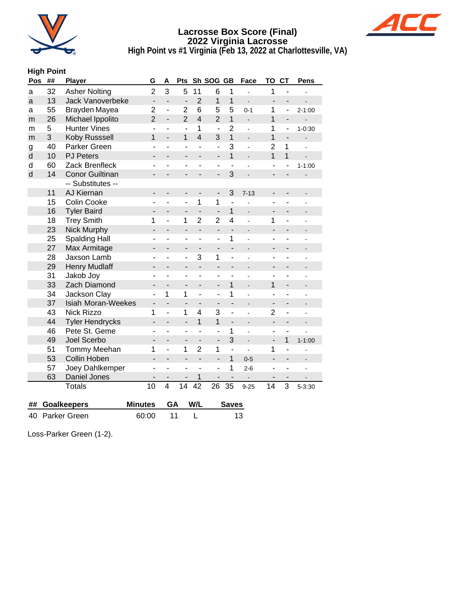



**High Point vs #1 Virginia (Feb 13, 2022 at Charlottesville, VA)**

## **High Point**

| Pos     | ## | Player                    | G                        | A                        | Pts                      |                | Sh SOG GB                |                | Face                     | TO                       | <b>CT</b>                    | Pens       |
|---------|----|---------------------------|--------------------------|--------------------------|--------------------------|----------------|--------------------------|----------------|--------------------------|--------------------------|------------------------------|------------|
| a       | 32 | <b>Asher Nolting</b>      | $\overline{2}$           | 3                        | 5                        | 11             | 6                        | 1              |                          | 1                        |                              |            |
| a       | 13 | Jack Vanoverbeke          | $\frac{1}{2}$            | $\overline{a}$           | $\frac{1}{2}$            | $\overline{2}$ | 1                        | 1              |                          | $\overline{\phantom{a}}$ | $\overline{\phantom{0}}$     |            |
| а       | 55 | Brayden Mayea             | 2                        | ÷,                       | $\overline{2}$           | 6              | 5                        | 5              | $0 - 1$                  | 1                        | $\overline{\phantom{0}}$     | $2 - 1:00$ |
| m       | 26 | Michael Ippolito          | $\overline{2}$           | $\overline{a}$           | $\overline{2}$           | $\overline{4}$ | $\overline{2}$           | 1              | $\overline{a}$           | $\mathbf{1}$             | $\overline{a}$               |            |
| m       | 5  | <b>Hunter Vines</b>       |                          | ÷,                       |                          | 1              |                          | $\overline{2}$ |                          | 1                        | ÷,                           | $1 - 0:30$ |
| m       | 3  | Koby Russsell             | 1                        | $\overline{a}$           | 1                        | $\overline{4}$ | 3                        | $\overline{1}$ |                          | $\overline{1}$           | $\overline{\phantom{a}}$     |            |
| g       | 40 | Parker Green              |                          |                          |                          | L              | ÷,                       | 3              | L.                       | $\overline{2}$           | 1                            |            |
| $\sf d$ | 10 | <b>PJ Peters</b>          |                          |                          |                          |                | $\overline{a}$           | 1              | $\overline{a}$           | $\mathbf{1}$             | 1                            |            |
| d       | 60 | Zack Brenfleck            |                          |                          |                          |                | ۰                        |                |                          |                          | ۰                            | $1 - 1:00$ |
| d       | 14 | <b>Conor Guiltinan</b>    |                          |                          |                          |                |                          | 3              |                          |                          |                              |            |
|         |    | -- Substitutes --         |                          |                          |                          |                |                          |                |                          |                          |                              |            |
|         | 11 | AJ Kiernan                | -                        | $\overline{\phantom{0}}$ | -                        | -              | $\overline{\phantom{a}}$ | 3              | $7 - 13$                 |                          | $\qquad \qquad \blacksquare$ |            |
|         | 15 | Colin Cooke               |                          | ÷,                       |                          | 1              | 1                        | $\overline{a}$ |                          |                          |                              |            |
|         | 16 | <b>Tyler Baird</b>        | $\overline{\phantom{0}}$ | $\overline{\phantom{0}}$ | $\overline{\phantom{0}}$ | $\overline{a}$ | $\overline{a}$           | 1              | $\overline{a}$           | $\overline{\phantom{0}}$ | $\overline{\phantom{0}}$     |            |
|         | 18 | <b>Trey Smith</b>         | 1                        | ä,                       | 1                        | $\overline{2}$ | $\overline{2}$           | $\overline{4}$ | L.                       | 1                        | ÷,                           |            |
|         | 23 | Nick Murphy               |                          |                          |                          |                | $\overline{\phantom{a}}$ |                |                          |                          |                              |            |
|         | 25 | <b>Spalding Hall</b>      |                          |                          |                          | L              |                          | 1              |                          |                          |                              |            |
|         | 27 | Max Armitage              |                          |                          |                          |                |                          |                |                          |                          |                              |            |
|         | 28 | Jaxson Lamb               |                          |                          |                          | 3              | 1                        | $\overline{a}$ |                          |                          |                              |            |
|         | 29 | <b>Henry Mudlaff</b>      |                          |                          |                          | $\overline{a}$ |                          |                |                          |                          |                              |            |
|         | 31 | Jakob Joy                 | ÷                        |                          |                          | $\overline{a}$ | ٠                        |                |                          | ۰                        | ä,                           |            |
|         | 33 | Zach Diamond              |                          |                          |                          | $\overline{a}$ | $\overline{\phantom{0}}$ | 1              | $\overline{\phantom{a}}$ | 1                        | ۰                            |            |
|         | 34 | Jackson Clay              |                          | 1                        | 1                        | ÷,             | ÷,                       | 1              |                          |                          | ÷,                           |            |
|         | 37 | <b>Isiah Moran-Weekes</b> |                          |                          |                          |                |                          |                |                          |                          |                              |            |
|         | 43 | Nick Rizzo                | 1                        | $\overline{a}$           | 1                        | 4              | 3                        | $\overline{a}$ | $\overline{a}$           | $\overline{2}$           | $\overline{\phantom{a}}$     |            |
|         | 44 | <b>Tyler Hendrycks</b>    | $\overline{\phantom{0}}$ | $\overline{\phantom{0}}$ | $\overline{\phantom{0}}$ | $\mathbf{1}$   | 1                        |                |                          | $\overline{\phantom{0}}$ | $\overline{\phantom{0}}$     |            |
|         | 46 | Pete St. Geme             |                          |                          |                          |                |                          | 1              |                          |                          | ä,                           |            |
|         | 49 | Joel Scerbo               | $\blacksquare$           |                          |                          | -              | $\overline{\phantom{a}}$ | 3              | $\overline{a}$           | $\overline{\phantom{a}}$ | $\mathbf{1}$                 | $1 - 1:00$ |
|         | 51 | Tommy Meehan              | 1                        | ÷,                       | 1                        | $\overline{2}$ | 1                        | L,             |                          | 1                        | ÷,                           |            |
|         | 53 | Collin Hoben              | $\overline{\phantom{0}}$ |                          |                          | $\overline{a}$ |                          | 1              | $0 - 5$                  |                          |                              |            |
|         | 57 | Joey Dahlkemper           |                          |                          |                          |                |                          | 1              | $2 - 6$                  |                          | ä,                           |            |
|         | 63 | Daniel Jones              |                          |                          |                          | 1              |                          |                |                          |                          |                              |            |
|         |    | Totals                    | 10                       | $\overline{4}$           | 14                       | 42             | 26                       | 35             | $9 - 25$                 | 14                       | 3                            | $5 - 3:30$ |
| ##      |    | <b>Goalkeepers</b>        | <b>Minutes</b>           | GA                       |                          | W/L            |                          | <b>Saves</b>   |                          |                          |                              |            |

| 40 Parker Green | 60:00 |  |  |
|-----------------|-------|--|--|

Loss-Parker Green (1-2).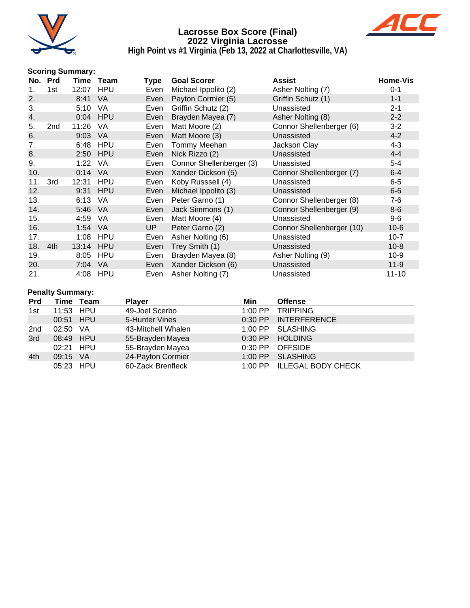



**High Point vs #1 Virginia (Feb 13, 2022 at Charlottesville, VA)**

#### **Scoring Summary:**

| No. | <b>Prd</b> | Time  | Team       | Type | <b>Goal Scorer</b>       | Assist                    | Home-Vis  |
|-----|------------|-------|------------|------|--------------------------|---------------------------|-----------|
| 1.  | 1st        | 12:07 | <b>HPU</b> | Even | Michael Ippolito (2)     | Asher Nolting (7)         | $0 - 1$   |
| 2.  |            | 8:41  | <b>VA</b>  | Even | Payton Cormier (5)       | Griffin Schutz (1)        | $1 - 1$   |
| 3.  |            | 5:10  | VA         | Even | Griffin Schutz (2)       | Unassisted                | $2 - 1$   |
| 4.  |            |       | 0:04 HPU   | Even | Brayden Mayea (7)        | Asher Nolting (8)         | $2 - 2$   |
| 5.  | 2nd        | 11:26 | <b>VA</b>  | Even | Matt Moore (2)           | Connor Shellenberger (6)  | $3 - 2$   |
| 6.  |            | 9:03  | <b>VA</b>  | Even | Matt Moore (3)           | Unassisted                | $4 - 2$   |
| 7.  |            | 6:48  | <b>HPU</b> | Even | Tommy Meehan             | Jackson Clay              | $4 - 3$   |
| 8.  |            | 2:50  | <b>HPU</b> | Even | Nick Rizzo (2)           | Unassisted                | $4 - 4$   |
| 9.  |            | 1:22  | VA         | Even | Connor Shellenberger (3) | Unassisted                | $5-4$     |
| 10. |            | 0:14  | <b>VA</b>  | Even | Xander Dickson (5)       | Connor Shellenberger (7)  | $6 - 4$   |
| 11. | 3rd        | 12:31 | <b>HPU</b> | Even | Koby Russsell (4)        | Unassisted                | $6-5$     |
| 12. |            | 9:31  | <b>HPU</b> | Even | Michael Ippolito (3)     | Unassisted                | $6-6$     |
| 13. |            | 6:13  | VA         | Even | Peter Garno (1)          | Connor Shellenberger (8)  | $7-6$     |
| 14. |            | 5:46  | <b>VA</b>  | Even | Jack Simmons (1)         | Connor Shellenberger (9)  | $8-6$     |
| 15. |            | 4:59  | VA         | Even | Matt Moore (4)           | Unassisted                | $9-6$     |
| 16. |            | 1:54  | <b>VA</b>  | UP.  | Peter Garno (2)          | Connor Shellenberger (10) | $10-6$    |
| 17. |            | 1:08  | <b>HPU</b> | Even | Asher Nolting (6)        | Unassisted                | $10 - 7$  |
| 18. | 4th        | 13:14 | <b>HPU</b> | Even | Trey Smith (1)           | Unassisted                | $10 - 8$  |
| 19. |            | 8:05  | <b>HPU</b> | Even | Brayden Mayea (8)        | Asher Nolting (9)         | $10-9$    |
| 20. |            | 7:04  | <b>VA</b>  | Even | Xander Dickson (6)       | Unassisted                | $11-9$    |
| 21. |            |       | 4:08 HPU   | Even | Asher Nolting (7)        | Unassisted                | $11 - 10$ |

#### **Penalty Summary:**

| <b>Prd</b>      |           | Time Team | <b>Player</b>      | Min       | <b>Offense</b>             |
|-----------------|-----------|-----------|--------------------|-----------|----------------------------|
| 1st             | 11:53 HPU |           | 49-Joel Scerbo     | $1:00$ PP | <b>TRIPPING</b>            |
|                 | 00:51 HPU |           | 5-Hunter Vines     |           | 0:30 PP INTERFERENCE       |
| 2 <sub>nd</sub> | 02:50     | - VA      | 43-Mitchell Whalen |           | 1:00 PP SLASHING           |
| 3rd             | 08:49 HPU |           | 55-Brayden Mayea   |           | 0:30 PP HOLDING            |
|                 | 02:21 HPU |           | 55-Brayden Mayea   |           | $0:30$ PP OFFSIDE          |
| 4th             | 09:15 VA  |           | 24-Payton Cormier  | $1:00$ PP | <b>SLASHING</b>            |
|                 | 05:23 HPU |           | 60-Zack Brenfleck  |           | 1:00 PP ILLEGAL BODY CHECK |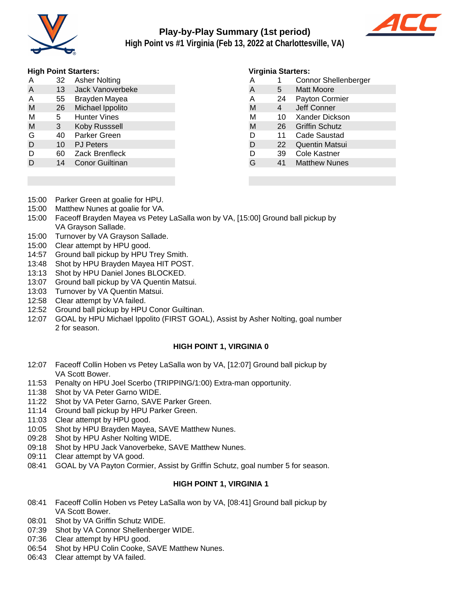

# **Play-by-Play Summary (1st period)**



**High Point vs #1 Virginia (Feb 13, 2022 at Charlottesville, VA)**

#### **High Point Starters:**

| . |    |                         |
|---|----|-------------------------|
| A | 32 | <b>Asher Nolting</b>    |
| A | 13 | <b>Jack Vanoverbeke</b> |
| A | 55 | Brayden Mayea           |
| M | 26 | Michael Ippolito        |
| M | 5. | <b>Hunter Vines</b>     |
| M | 3  | Koby Russsell           |
| G | 40 | Parker Green            |
| D | 10 | <b>PJ Peters</b>        |
| D | 60 | <b>Zack Brenfleck</b>   |
| D | 14 | <b>Conor Guiltinan</b>  |

#### **Virginia Starters:**

| A | 1  | <b>Connor Shellenberger</b> |
|---|----|-----------------------------|
| A | 5. | <b>Matt Moore</b>           |
| A | 24 | Payton Cormier              |
| M | 4  | Jeff Conner                 |
| М | 10 | Xander Dickson              |
| M | 26 | <b>Griffin Schutz</b>       |
| D | 11 | Cade Saustad                |
| D | 22 | <b>Quentin Matsui</b>       |
| D | 39 | Cole Kastner                |
| G | 41 | <b>Matthew Nunes</b>        |
|   |    |                             |

- 15:00 Parker Green at goalie for HPU.
- 15:00 Matthew Nunes at goalie for VA.
- 15:00 Faceoff Brayden Mayea vs Petey LaSalla won by VA, [15:00] Ground ball pickup by VA Grayson Sallade.
- 15:00 Turnover by VA Grayson Sallade.
- 15:00 Clear attempt by HPU good.
- 14:57 Ground ball pickup by HPU Trey Smith.
- 13:48 Shot by HPU Brayden Mayea HIT POST.
- 13:13 Shot by HPU Daniel Jones BLOCKED.
- 13:07 Ground ball pickup by VA Quentin Matsui.
- 13:03 Turnover by VA Quentin Matsui.
- 12:58 Clear attempt by VA failed.
- 12:52 Ground ball pickup by HPU Conor Guiltinan.
- 12:07 GOAL by HPU Michael Ippolito (FIRST GOAL), Assist by Asher Nolting, goal number 2 for season.

#### **HIGH POINT 1, VIRGINIA 0**

- 12:07 Faceoff Collin Hoben vs Petey LaSalla won by VA, [12:07] Ground ball pickup by VA Scott Bower.
- 11:53 Penalty on HPU Joel Scerbo (TRIPPING/1:00) Extra-man opportunity.
- 11:38 Shot by VA Peter Garno WIDE.
- 11:22 Shot by VA Peter Garno, SAVE Parker Green.
- 11:14 Ground ball pickup by HPU Parker Green.
- 11:03 Clear attempt by HPU good.
- 10:05 Shot by HPU Brayden Mayea, SAVE Matthew Nunes.
- 09:28 Shot by HPU Asher Nolting WIDE.
- 09:18 Shot by HPU Jack Vanoverbeke, SAVE Matthew Nunes.
- 09:11 Clear attempt by VA good.
- 08:41 GOAL by VA Payton Cormier, Assist by Griffin Schutz, goal number 5 for season.

#### **HIGH POINT 1, VIRGINIA 1**

- 08:41 Faceoff Collin Hoben vs Petey LaSalla won by VA, [08:41] Ground ball pickup by VA Scott Bower.
- 08:01 Shot by VA Griffin Schutz WIDE.
- 07:39 Shot by VA Connor Shellenberger WIDE.
- 07:36 Clear attempt by HPU good.
- 06:54 Shot by HPU Colin Cooke, SAVE Matthew Nunes.
- 06:43 Clear attempt by VA failed.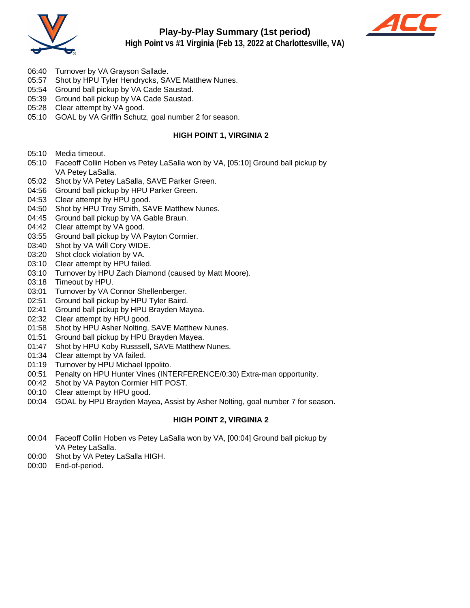



- 06:40 Turnover by VA Grayson Sallade.
- 05:57 Shot by HPU Tyler Hendrycks, SAVE Matthew Nunes.
- 05:54 Ground ball pickup by VA Cade Saustad.
- 05:39 Ground ball pickup by VA Cade Saustad.
- 05:28 Clear attempt by VA good.
- 05:10 GOAL by VA Griffin Schutz, goal number 2 for season.

#### **HIGH POINT 1, VIRGINIA 2**

- 05:10 Media timeout.
- 05:10 Faceoff Collin Hoben vs Petey LaSalla won by VA, [05:10] Ground ball pickup by VA Petey LaSalla.
- 05:02 Shot by VA Petey LaSalla, SAVE Parker Green.
- 04:56 Ground ball pickup by HPU Parker Green.
- 04:53 Clear attempt by HPU good.
- 04:50 Shot by HPU Trey Smith, SAVE Matthew Nunes.
- 04:45 Ground ball pickup by VA Gable Braun.
- 04:42 Clear attempt by VA good.
- 03:55 Ground ball pickup by VA Payton Cormier.
- 03:40 Shot by VA Will Cory WIDE.
- 03:20 Shot clock violation by VA.
- 03:10 Clear attempt by HPU failed.
- 03:10 Turnover by HPU Zach Diamond (caused by Matt Moore).
- 03:18 Timeout by HPU.
- 03:01 Turnover by VA Connor Shellenberger.
- 02:51 Ground ball pickup by HPU Tyler Baird.
- 02:41 Ground ball pickup by HPU Brayden Mayea.
- 02:32 Clear attempt by HPU good.
- 01:58 Shot by HPU Asher Nolting, SAVE Matthew Nunes.
- 01:51 Ground ball pickup by HPU Brayden Mayea.
- 01:47 Shot by HPU Koby Russsell, SAVE Matthew Nunes.
- 01:34 Clear attempt by VA failed.
- 01:19 Turnover by HPU Michael Ippolito.
- 00:51 Penalty on HPU Hunter Vines (INTERFERENCE/0:30) Extra-man opportunity.
- 00:42 Shot by VA Payton Cormier HIT POST.
- 00:10 Clear attempt by HPU good.
- 00:04 GOAL by HPU Brayden Mayea, Assist by Asher Nolting, goal number 7 for season.

#### **HIGH POINT 2, VIRGINIA 2**

- 00:04 Faceoff Collin Hoben vs Petey LaSalla won by VA, [00:04] Ground ball pickup by VA Petey LaSalla.
- 00:00 Shot by VA Petey LaSalla HIGH.
- 00:00 End-of-period.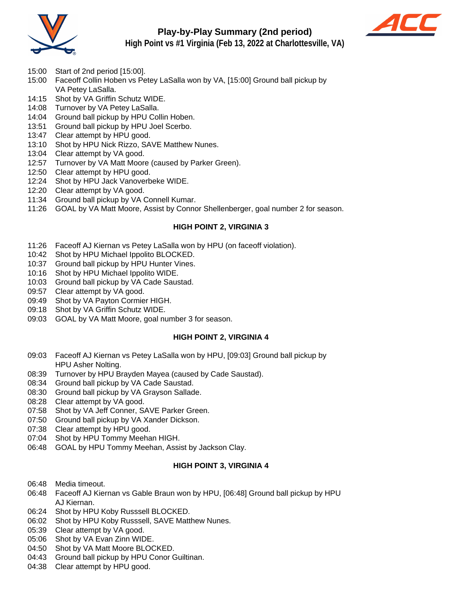

## **Play-by-Play Summary (2nd period)**



**High Point vs #1 Virginia (Feb 13, 2022 at Charlottesville, VA)**

- 15:00 Start of 2nd period [15:00].
- 15:00 Faceoff Collin Hoben vs Petey LaSalla won by VA, [15:00] Ground ball pickup by VA Petey LaSalla.
- 14:15 Shot by VA Griffin Schutz WIDE.
- 14:08 Turnover by VA Petey LaSalla.
- 14:04 Ground ball pickup by HPU Collin Hoben.
- 13:51 Ground ball pickup by HPU Joel Scerbo.
- 13:47 Clear attempt by HPU good.
- 13:10 Shot by HPU Nick Rizzo, SAVE Matthew Nunes.
- 13:04 Clear attempt by VA good.
- 12:57 Turnover by VA Matt Moore (caused by Parker Green).
- 12:50 Clear attempt by HPU good.
- 12:24 Shot by HPU Jack Vanoverbeke WIDE.
- 12:20 Clear attempt by VA good.
- 11:34 Ground ball pickup by VA Connell Kumar.
- 11:26 GOAL by VA Matt Moore, Assist by Connor Shellenberger, goal number 2 for season.

#### **HIGH POINT 2, VIRGINIA 3**

- 11:26 Faceoff AJ Kiernan vs Petey LaSalla won by HPU (on faceoff violation).
- 10:42 Shot by HPU Michael Ippolito BLOCKED.
- 10:37 Ground ball pickup by HPU Hunter Vines.
- 10:16 Shot by HPU Michael Ippolito WIDE.
- 10:03 Ground ball pickup by VA Cade Saustad.
- 09:57 Clear attempt by VA good.
- 09:49 Shot by VA Payton Cormier HIGH.
- 09:18 Shot by VA Griffin Schutz WIDE.
- 09:03 GOAL by VA Matt Moore, goal number 3 for season.

#### **HIGH POINT 2, VIRGINIA 4**

- 09:03 Faceoff AJ Kiernan vs Petey LaSalla won by HPU, [09:03] Ground ball pickup by HPU Asher Nolting.
- 08:39 Turnover by HPU Brayden Mayea (caused by Cade Saustad).
- 08:34 Ground ball pickup by VA Cade Saustad.
- 08:30 Ground ball pickup by VA Grayson Sallade.
- 08:28 Clear attempt by VA good.
- 07:58 Shot by VA Jeff Conner, SAVE Parker Green.
- 07:50 Ground ball pickup by VA Xander Dickson.
- 07:38 Clear attempt by HPU good.
- 07:04 Shot by HPU Tommy Meehan HIGH.
- 06:48 GOAL by HPU Tommy Meehan, Assist by Jackson Clay.

#### **HIGH POINT 3, VIRGINIA 4**

- 06:48 Media timeout.
- 06:48 Faceoff AJ Kiernan vs Gable Braun won by HPU, [06:48] Ground ball pickup by HPU AJ Kiernan.
- 06:24 Shot by HPU Koby Russsell BLOCKED.
- 06:02 Shot by HPU Koby Russsell, SAVE Matthew Nunes.
- 05:39 Clear attempt by VA good.
- 05:06 Shot by VA Evan Zinn WIDE.
- 04:50 Shot by VA Matt Moore BLOCKED.
- 04:43 Ground ball pickup by HPU Conor Guiltinan.
- 04:38 Clear attempt by HPU good.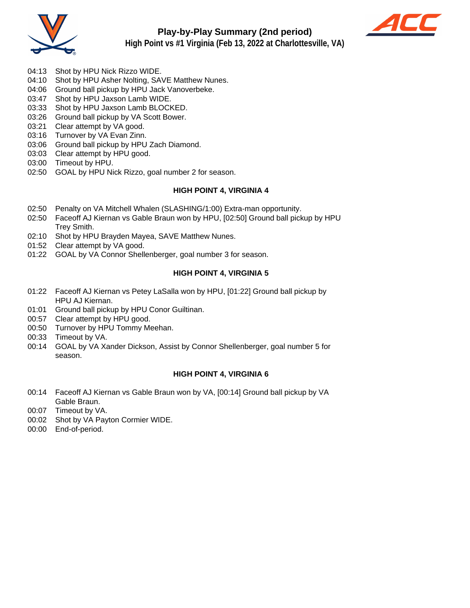



- 
- 04:13 Shot by HPU Nick Rizzo WIDE.
- 04:10 Shot by HPU Asher Nolting, SAVE Matthew Nunes.
- 04:06 Ground ball pickup by HPU Jack Vanoverbeke.
- 03:47 Shot by HPU Jaxson Lamb WIDE.
- 03:33 Shot by HPU Jaxson Lamb BLOCKED.
- 03:26 Ground ball pickup by VA Scott Bower.
- 03:21 Clear attempt by VA good.
- 03:16 Turnover by VA Evan Zinn.
- 03:06 Ground ball pickup by HPU Zach Diamond.
- 03:03 Clear attempt by HPU good.
- 03:00 Timeout by HPU.
- 02:50 GOAL by HPU Nick Rizzo, goal number 2 for season.

#### **HIGH POINT 4, VIRGINIA 4**

- 02:50 Penalty on VA Mitchell Whalen (SLASHING/1:00) Extra-man opportunity.
- 02:50 Faceoff AJ Kiernan vs Gable Braun won by HPU, [02:50] Ground ball pickup by HPU Trey Smith.
- 02:10 Shot by HPU Brayden Mayea, SAVE Matthew Nunes.
- 01:52 Clear attempt by VA good.
- 01:22 GOAL by VA Connor Shellenberger, goal number 3 for season.

#### **HIGH POINT 4, VIRGINIA 5**

- 01:22 Faceoff AJ Kiernan vs Petey LaSalla won by HPU, [01:22] Ground ball pickup by HPU AJ Kiernan.
- 01:01 Ground ball pickup by HPU Conor Guiltinan.
- 00:57 Clear attempt by HPU good.
- 00:50 Turnover by HPU Tommy Meehan.
- 00:33 Timeout by VA.
- 00:14 GOAL by VA Xander Dickson, Assist by Connor Shellenberger, goal number 5 for season.

#### **HIGH POINT 4, VIRGINIA 6**

- 00:14 Faceoff AJ Kiernan vs Gable Braun won by VA, [00:14] Ground ball pickup by VA Gable Braun.
- 00:07 Timeout by VA.
- 00:02 Shot by VA Payton Cormier WIDE.
- 00:00 End-of-period.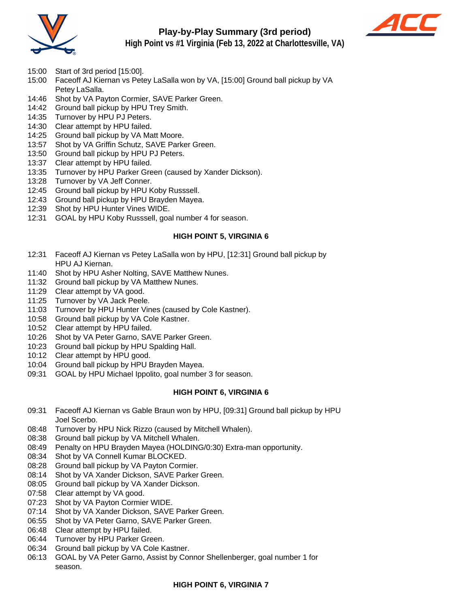

## **Play-by-Play Summary (3rd period)**



**High Point vs #1 Virginia (Feb 13, 2022 at Charlottesville, VA)**

- 15:00 Start of 3rd period [15:00].
- 15:00 Faceoff AJ Kiernan vs Petey LaSalla won by VA, [15:00] Ground ball pickup by VA Petey LaSalla.
- 14:46 Shot by VA Payton Cormier, SAVE Parker Green.
- 14:42 Ground ball pickup by HPU Trey Smith.
- 14:35 Turnover by HPU PJ Peters.
- 14:30 Clear attempt by HPU failed.
- 14:25 Ground ball pickup by VA Matt Moore.
- 13:57 Shot by VA Griffin Schutz, SAVE Parker Green.
- 13:50 Ground ball pickup by HPU PJ Peters.
- 13:37 Clear attempt by HPU failed.
- 13:35 Turnover by HPU Parker Green (caused by Xander Dickson).
- 13:28 Turnover by VA Jeff Conner.
- 12:45 Ground ball pickup by HPU Koby Russsell.
- 12:43 Ground ball pickup by HPU Brayden Mayea.
- 12:39 Shot by HPU Hunter Vines WIDE.
- 12:31 GOAL by HPU Koby Russsell, goal number 4 for season.

#### **HIGH POINT 5, VIRGINIA 6**

- 12:31 Faceoff AJ Kiernan vs Petey LaSalla won by HPU, [12:31] Ground ball pickup by HPU AJ Kiernan.
- 11:40 Shot by HPU Asher Nolting, SAVE Matthew Nunes.
- 11:32 Ground ball pickup by VA Matthew Nunes.
- 11:29 Clear attempt by VA good.
- 11:25 Turnover by VA Jack Peele.
- 11:03 Turnover by HPU Hunter Vines (caused by Cole Kastner).
- 10:58 Ground ball pickup by VA Cole Kastner.
- 10:52 Clear attempt by HPU failed.
- 10:26 Shot by VA Peter Garno, SAVE Parker Green.
- 10:23 Ground ball pickup by HPU Spalding Hall.
- 10:12 Clear attempt by HPU good.
- 10:04 Ground ball pickup by HPU Brayden Mayea.
- 09:31 GOAL by HPU Michael Ippolito, goal number 3 for season.

#### **HIGH POINT 6, VIRGINIA 6**

- 09:31 Faceoff AJ Kiernan vs Gable Braun won by HPU, [09:31] Ground ball pickup by HPU Joel Scerbo.
- 08:48 Turnover by HPU Nick Rizzo (caused by Mitchell Whalen).
- 08:38 Ground ball pickup by VA Mitchell Whalen.
- 08:49 Penalty on HPU Brayden Mayea (HOLDING/0:30) Extra-man opportunity.
- 08:34 Shot by VA Connell Kumar BLOCKED.
- 08:28 Ground ball pickup by VA Payton Cormier.
- 08:14 Shot by VA Xander Dickson, SAVE Parker Green.
- 08:05 Ground ball pickup by VA Xander Dickson.
- 07:58 Clear attempt by VA good.
- 07:23 Shot by VA Payton Cormier WIDE.
- 07:14 Shot by VA Xander Dickson, SAVE Parker Green.
- 06:55 Shot by VA Peter Garno, SAVE Parker Green.
- 06:48 Clear attempt by HPU failed.
- 06:44 Turnover by HPU Parker Green.
- 06:34 Ground ball pickup by VA Cole Kastner.
- 06:13 GOAL by VA Peter Garno, Assist by Connor Shellenberger, goal number 1 for season.

#### **HIGH POINT 6, VIRGINIA 7**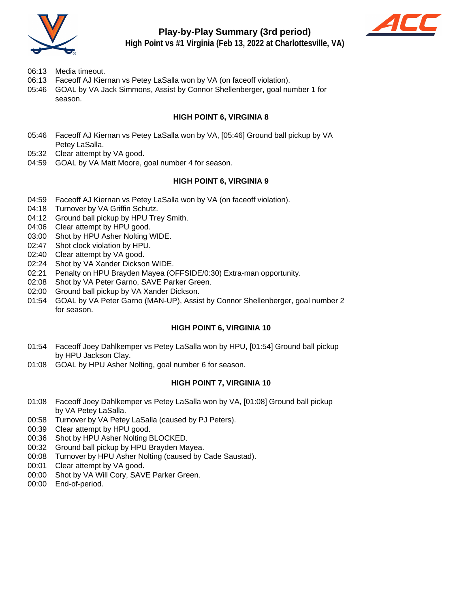

## **Play-by-Play Summary (3rd period)**



**High Point vs #1 Virginia (Feb 13, 2022 at Charlottesville, VA)**

- 06:13 Media timeout.
- 06:13 Faceoff AJ Kiernan vs Petey LaSalla won by VA (on faceoff violation).
- 05:46 GOAL by VA Jack Simmons, Assist by Connor Shellenberger, goal number 1 for season.

#### **HIGH POINT 6, VIRGINIA 8**

- 05:46 Faceoff AJ Kiernan vs Petey LaSalla won by VA, [05:46] Ground ball pickup by VA Petey LaSalla.
- 05:32 Clear attempt by VA good.
- 04:59 GOAL by VA Matt Moore, goal number 4 for season.

#### **HIGH POINT 6, VIRGINIA 9**

- 04:59 Faceoff AJ Kiernan vs Petey LaSalla won by VA (on faceoff violation).
- 04:18 Turnover by VA Griffin Schutz.
- 04:12 Ground ball pickup by HPU Trey Smith.
- 04:06 Clear attempt by HPU good.
- 03:00 Shot by HPU Asher Nolting WIDE.
- 02:47 Shot clock violation by HPU.
- 02:40 Clear attempt by VA good.
- 02:24 Shot by VA Xander Dickson WIDE.
- 02:21 Penalty on HPU Brayden Mayea (OFFSIDE/0:30) Extra-man opportunity.
- 02:08 Shot by VA Peter Garno, SAVE Parker Green.
- 02:00 Ground ball pickup by VA Xander Dickson.
- 01:54 GOAL by VA Peter Garno (MAN-UP), Assist by Connor Shellenberger, goal number 2 for season.

#### **HIGH POINT 6, VIRGINIA 10**

- 01:54 Faceoff Joey Dahlkemper vs Petey LaSalla won by HPU, [01:54] Ground ball pickup by HPU Jackson Clay.
- 01:08 GOAL by HPU Asher Nolting, goal number 6 for season.

#### **HIGH POINT 7, VIRGINIA 10**

- 01:08 Faceoff Joey Dahlkemper vs Petey LaSalla won by VA, [01:08] Ground ball pickup by VA Petey LaSalla.
- 00:58 Turnover by VA Petey LaSalla (caused by PJ Peters).
- 00:39 Clear attempt by HPU good.
- 00:36 Shot by HPU Asher Nolting BLOCKED.
- 00:32 Ground ball pickup by HPU Brayden Mayea.
- 00:08 Turnover by HPU Asher Nolting (caused by Cade Saustad).
- 00:01 Clear attempt by VA good.
- 00:00 Shot by VA Will Cory, SAVE Parker Green.
- 00:00 End-of-period.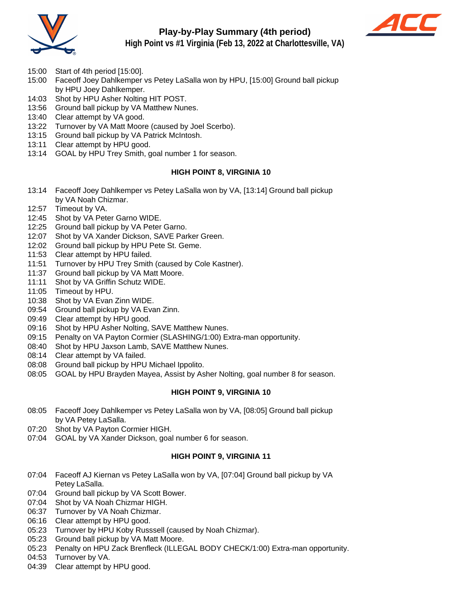

## **Play-by-Play Summary (4th period)**



**High Point vs #1 Virginia (Feb 13, 2022 at Charlottesville, VA)**

- 15:00 Start of 4th period [15:00].
- 15:00 Faceoff Joey Dahlkemper vs Petey LaSalla won by HPU, [15:00] Ground ball pickup by HPU Joey Dahlkemper.
- 14:03 Shot by HPU Asher Nolting HIT POST.
- 13:56 Ground ball pickup by VA Matthew Nunes.
- 13:40 Clear attempt by VA good.
- 13:22 Turnover by VA Matt Moore (caused by Joel Scerbo).
- 13:15 Ground ball pickup by VA Patrick McIntosh.
- 13:11 Clear attempt by HPU good.
- 13:14 GOAL by HPU Trey Smith, goal number 1 for season.

#### **HIGH POINT 8, VIRGINIA 10**

- 13:14 Faceoff Joey Dahlkemper vs Petey LaSalla won by VA, [13:14] Ground ball pickup by VA Noah Chizmar.
- 12:57 Timeout by VA.
- 12:45 Shot by VA Peter Garno WIDE.
- 12:25 Ground ball pickup by VA Peter Garno.
- 12:07 Shot by VA Xander Dickson, SAVE Parker Green.
- 12:02 Ground ball pickup by HPU Pete St. Geme.
- 11:53 Clear attempt by HPU failed.
- 11:51 Turnover by HPU Trey Smith (caused by Cole Kastner).
- 11:37 Ground ball pickup by VA Matt Moore.
- 11:11 Shot by VA Griffin Schutz WIDE.
- 11:05 Timeout by HPU.
- 10:38 Shot by VA Evan Zinn WIDE.
- 09:54 Ground ball pickup by VA Evan Zinn.
- 09:49 Clear attempt by HPU good.
- 09:16 Shot by HPU Asher Nolting, SAVE Matthew Nunes.
- 09:15 Penalty on VA Payton Cormier (SLASHING/1:00) Extra-man opportunity.
- 08:40 Shot by HPU Jaxson Lamb, SAVE Matthew Nunes.
- 08:14 Clear attempt by VA failed.
- 08:08 Ground ball pickup by HPU Michael Ippolito.
- 08:05 GOAL by HPU Brayden Mayea, Assist by Asher Nolting, goal number 8 for season.

#### **HIGH POINT 9, VIRGINIA 10**

- 08:05 Faceoff Joey Dahlkemper vs Petey LaSalla won by VA, [08:05] Ground ball pickup by VA Petey LaSalla.
- 07:20 Shot by VA Payton Cormier HIGH.
- 07:04 GOAL by VA Xander Dickson, goal number 6 for season.

#### **HIGH POINT 9, VIRGINIA 11**

- 07:04 Faceoff AJ Kiernan vs Petey LaSalla won by VA, [07:04] Ground ball pickup by VA Petey LaSalla.
- 07:04 Ground ball pickup by VA Scott Bower.
- 07:04 Shot by VA Noah Chizmar HIGH.
- 06:37 Turnover by VA Noah Chizmar.
- 06:16 Clear attempt by HPU good.
- 05:23 Turnover by HPU Koby Russsell (caused by Noah Chizmar).
- 05:23 Ground ball pickup by VA Matt Moore.
- 05:23 Penalty on HPU Zack Brenfleck (ILLEGAL BODY CHECK/1:00) Extra-man opportunity.
- 04:53 Turnover by VA.
- 04:39 Clear attempt by HPU good.